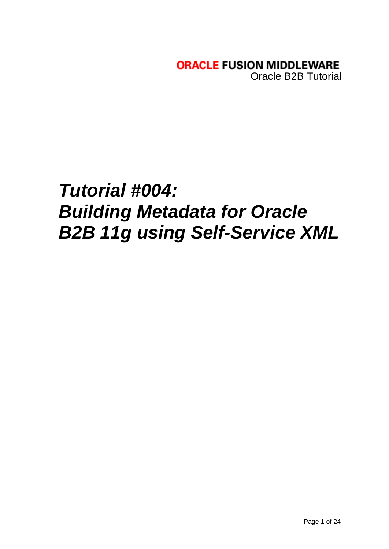**ORACLE FUSION MIDDLEWARE** Oracle B2B Tutorial

# *Tutorial #004: Building Metadata for Oracle B2B 11g using Self-Service XML*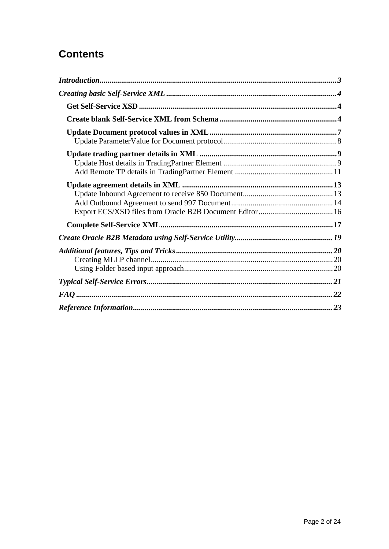# **Contents**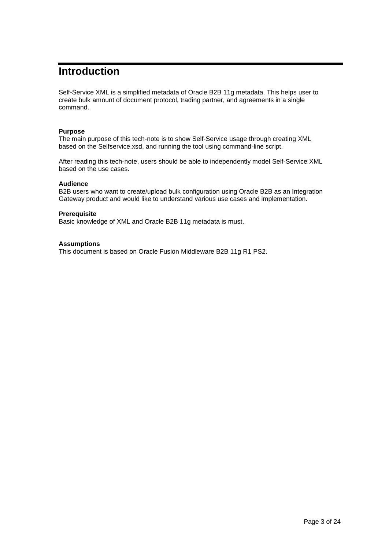# <span id="page-2-0"></span>**Introduction**

Self-Service XML is a simplified metadata of Oracle B2B 11g metadata. This helps user to create bulk amount of document protocol, trading partner, and agreements in a single command.

# **Purpose**

The main purpose of this tech-note is to show Self-Service usage through creating XML based on the Selfservice.xsd, and running the tool using command-line script.

After reading this tech-note, users should be able to independently model Self-Service XML based on the use cases.

# **Audience**

B2B users who want to create/upload bulk configuration using Oracle B2B as an Integration Gateway product and would like to understand various use cases and implementation.

### **Prerequisite**

Basic knowledge of XML and Oracle B2B 11g metadata is must.

### **Assumptions**

This document is based on Oracle Fusion Middleware B2B 11g R1 PS2.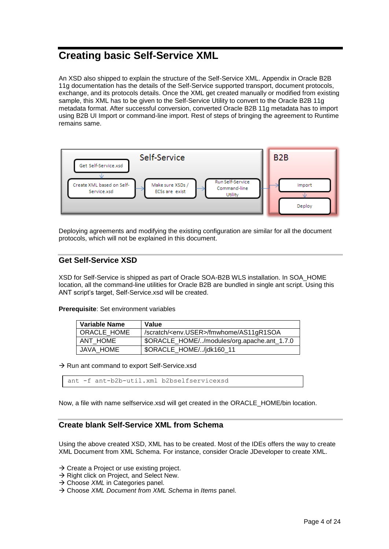# <span id="page-3-0"></span>**Creating basic Self-Service XML**

An XSD also shipped to explain the structure of the Self-Service XML. Appendix in Oracle B2B 11g documentation has the details of the Self-Service supported transport, document protocols, exchange, and its protocols details. Once the XML get created manually or modified from existing sample, this XML has to be given to the Self-Service Utility to convert to the Oracle B2B 11g metadata format. After successful conversion, converted Oracle B2B 11g metadata has to import using B2B UI Import or command-line import. Rest of steps of bringing the agreement to Runtime remains same.



Deploying agreements and modifying the existing configuration are similar for all the document protocols, which will not be explained in this document.

# <span id="page-3-1"></span>**Get Self-Service XSD**

XSD for Self-Service is shipped as part of Oracle SOA-B2B WLS installation. In SOA\_HOME location, all the command-line utilities for Oracle B2B are bundled in single ant script. Using this ANT script's target, Self-Service.xsd will be created.

**Prerequisite**: Set environment variables

| <b>Variable Name</b> | Value                                             |
|----------------------|---------------------------------------------------|
| ORACLE HOME          | Scratch/ <env.user>/fmwhome/AS11gR1SOA</env.user> |
| ANT HOME             | \$ORACLE_HOME//modules/org.apache.ant_1.7.0       |
| JAVA HOME            | \$ORACLE_HOME//jdk160_11                          |

 $\rightarrow$  Run ant command to export Self-Service.xsd

ant -f ant-b2b-util.xml b2bselfservicexsd

<span id="page-3-2"></span>Now, a file with name selfservice.xsd will get created in the ORACLE\_HOME/bin location.

# **Create blank Self-Service XML from Schema**

Using the above created XSD, XML has to be created. Most of the IDEs offers the way to create XML Document from XML Schema. For instance, consider Oracle JDeveloper to create XML.

- $\rightarrow$  Create a Project or use existing project.
- $\rightarrow$  Right click on Project, and Select New.
- → Choose *XML* in Categories panel.
- Choose *XML Document from XML Schema* in *Items* panel.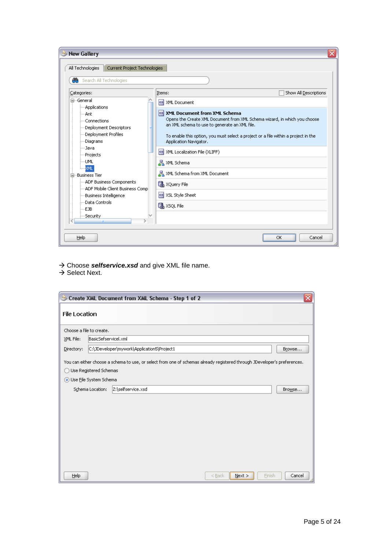| Search All Technologies                                                                                                                                                                                                                                                                                              |                                                                                                                                                                                                                                                                        |                                                                                                                                                                 |
|----------------------------------------------------------------------------------------------------------------------------------------------------------------------------------------------------------------------------------------------------------------------------------------------------------------------|------------------------------------------------------------------------------------------------------------------------------------------------------------------------------------------------------------------------------------------------------------------------|-----------------------------------------------------------------------------------------------------------------------------------------------------------------|
| Categories:                                                                                                                                                                                                                                                                                                          | Items:                                                                                                                                                                                                                                                                 | Show All Descriptions                                                                                                                                           |
| ⊟…General<br>- Applications<br>--- Ant<br>---Connections<br>Deployment Descriptors<br>Deployment Profiles<br>---Diagrams<br>--Java<br>-Projects<br>…UML<br><b>XML</b><br>白…Business Tier<br>-ADF Business Components<br>ADF Mobile Client Business Comp<br>Business Intelligence<br>Data Controls<br>EJB<br>Security | <> XML Document<br>ML Document from XML Schema<br>an XML schema to use to generate an XML file.<br>Application Navigator.<br>XML Localization File (XLIFF)<br>몽 XML Schema<br>몽 XML Schema from XML Document<br>XQuery File<br>↔ XSL Style Sheet<br><b>B</b> XSQL File | Opens the Create XML Document from XML Schema wizard, in which you choose<br>To enable this option, you must select a project or a file within a project in the |

- → Choose **selfservice.xsd** and give XML file name.
- $\rightarrow$  Select Next.

|                          |                        | Create XML Document from XML Schema - Step 1 of 2                                                                         | ≅      |
|--------------------------|------------------------|---------------------------------------------------------------------------------------------------------------------------|--------|
| <b>File Location</b>     |                        |                                                                                                                           |        |
| Choose a file to create. |                        |                                                                                                                           |        |
| XML File:                | BasicSefservicel.xml   |                                                                                                                           |        |
| Directory:               |                        | C:\JDeveloper\mywork\Application5\Project1                                                                                | Browse |
|                          |                        | You can either choose a schema to use, or select from one of schemas already registered through JDeveloper's preferences. |        |
|                          | Use Registered Schemas |                                                                                                                           |        |
|                          | Use Eile System Schema |                                                                                                                           |        |
|                          | Schema Location:       | Z:\selfservice.xsd                                                                                                        | Browse |
|                          |                        |                                                                                                                           |        |
|                          |                        |                                                                                                                           |        |
|                          |                        |                                                                                                                           |        |
|                          |                        |                                                                                                                           |        |
|                          |                        |                                                                                                                           |        |
|                          |                        |                                                                                                                           |        |
|                          |                        |                                                                                                                           |        |
|                          |                        |                                                                                                                           |        |
| Help                     |                        | $<$ Back<br>Next<br>Finish                                                                                                | Cancel |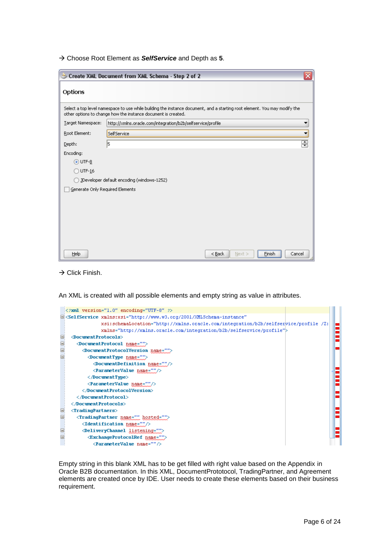Choose Root Element as *SelfService* and Depth as **5**.

|                                 | Create XML Document from XML Schema - Step 2 of 2                                                                                                                                          |
|---------------------------------|--------------------------------------------------------------------------------------------------------------------------------------------------------------------------------------------|
| Options                         |                                                                                                                                                                                            |
|                                 | Select a top level namespace to use while building the instance document, and a starting root element. You may modify the<br>other options to change how the instance document is created. |
| Target Namespace:               | http://xmlns.oracle.com/integration/b2b/selfservice/profile                                                                                                                                |
| Root Element:                   | SelfService                                                                                                                                                                                |
| Depth:                          | ₽<br>l5                                                                                                                                                                                    |
| Encoding:                       |                                                                                                                                                                                            |
| $\odot$ UTF-8                   |                                                                                                                                                                                            |
| $\bigcirc$ UTF-16               |                                                                                                                                                                                            |
|                                 | JDeveloper default encoding (windows-1252)                                                                                                                                                 |
| Generate Only Required Elements |                                                                                                                                                                                            |
|                                 |                                                                                                                                                                                            |
|                                 |                                                                                                                                                                                            |
|                                 |                                                                                                                                                                                            |
|                                 |                                                                                                                                                                                            |
|                                 |                                                                                                                                                                                            |
|                                 |                                                                                                                                                                                            |
| Help                            | $<$ Back<br>Finish<br>Cancel<br>Next                                                                                                                                                       |

 $\rightarrow$  Click Finish.

An XML is created with all possible elements and empty string as value in attributes.

| $\leq$ ?xml version="1.0" encoding="UTF-8" ?>                                                           |                                                                                     |
|---------------------------------------------------------------------------------------------------------|-------------------------------------------------------------------------------------|
| □ <selfservice <="" td="" xmlns:xsi="http://www.w3.org/2001/XMLSchema-instance"><td></td></selfservice> |                                                                                     |
|                                                                                                         | xsi:schemaLocation="http://xmlns.oracle.com/integration/b2b/selfserwice/profile /2: |
| xmlns="http://xmlns.oracle.com/integration/b2b/selfservice/profile">                                    |                                                                                     |
| $\Diamond$ OocumentProtocols><br>⊟                                                                      |                                                                                     |
| ⊟<br><documentprotocol mame=""></documentprotocol>                                                      |                                                                                     |
| Θ<br><documentprotocolversion name=""></documentprotocolversion>                                        |                                                                                     |
| DocumentType name="">                                                                                   |                                                                                     |
| <documentdefinition name=""></documentdefinition>                                                       |                                                                                     |
| <parametervalue name=""></parametervalue>                                                               |                                                                                     |
| $\langle$ /DocumentType>                                                                                |                                                                                     |
| <parametervalue name=""></parametervalue>                                                               |                                                                                     |
|                                                                                                         |                                                                                     |
|                                                                                                         |                                                                                     |
|                                                                                                         |                                                                                     |
| Θ<br>$\langle$ TradingPartners $\rangle$                                                                |                                                                                     |
| $\boxdot$<br><tradingpartner hosted="" name=""></tradingpartner>                                        |                                                                                     |
| <identification name=""></identification>                                                               |                                                                                     |
| <deliverychannel listening=""></deliverychannel>                                                        |                                                                                     |
| $\boxminus$<br><exchangeprotocolref name=""></exchangeprotocolref>                                      |                                                                                     |
| <parametervalue name=""></parametervalue>                                                               |                                                                                     |

Empty string in this blank XML has to be get filled with right value based on the Appendix in Oracle B2B documentation. In this XML, DocumentPrototocol, TradingPartner, and Agreement elements are created once by IDE. User needs to create these elements based on their business requirement.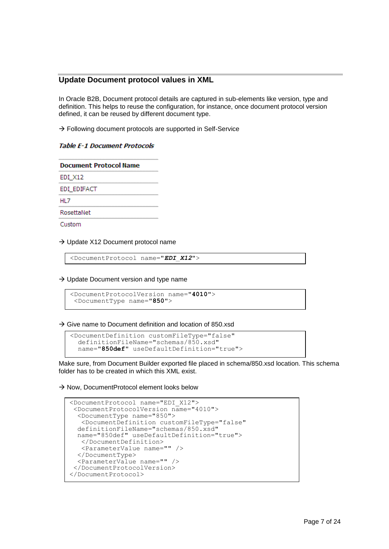# <span id="page-6-0"></span>**Update Document protocol values in XML**

In Oracle B2B, Document protocol details are captured in sub-elements like version, type and definition. This helps to reuse the configuration, for instance, once document protocol version defined, it can be reused by different document type.

 $\rightarrow$  Following document protocols are supported in Self-Service

# **Table E-1 Document Protocols**

| <b>Document Protocol Name</b> |  |
|-------------------------------|--|
| EDI X12                       |  |
| EDI EDIFACT                   |  |
| HL <sub>7</sub>               |  |
| RosettaNet                    |  |
| Custom                        |  |
|                               |  |

 $\rightarrow$  Update X12 Document protocol name

<DocumentProtocol name="*EDI\_X12*">

 $\rightarrow$  Update Document version and type name

```
<DocumentProtocolVersion name="4010">
 <DocumentType name="850">
```
 $\rightarrow$  Give name to Document definition and location of 850 xsd

```
<DocumentDefinition customFileType="false"
  definitionFileName="schemas/850.xsd"
   name="850def" useDefaultDefinition="true">
```
Make sure, from Document Builder exported file placed in schema/850.xsd location. This schema folder has to be created in which this XML exist.

 $\rightarrow$  Now, DocumentProtocol element looks below

```
<DocumentProtocol name="EDI_X12">
 <DocumentProtocolVersion name="4010">
  <DocumentType name="850">
   <DocumentDefinition customFileType="false"
  definitionFileName="schemas/850.xsd"
 name="850def" useDefaultDefinition="true">
   </DocumentDefinition>
   <ParameterValue name="" />
  </DocumentType>
  <ParameterValue name="" />
 </DocumentProtocolVersion>
</DocumentProtocol>
```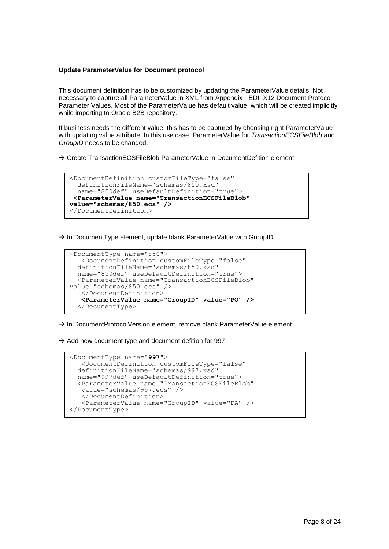#### <span id="page-7-0"></span>**Update ParameterValue for Document protocol**

Ĩ

This document definition has to be customized by updating the ParameterValue details. Not necessary to capture all ParameterValue in XML from Appendix - EDI\_X12 Document Protocol Parameter Values. Most of the ParameterValue has default value, which will be created implicitly while importing to Oracle B2B repository.

If business needs the different value, this has to be captured by choosing right ParameterValue with updating value attribute. In this use case, ParameterValue for *TransactionECSFileBlob* and *GroupID* needs to be changed.

→ Create TransactionECSFileBlob ParameterValue in DocumentDefition element

```
<DocumentDefinition customFileType="false"
   definitionFileName="schemas/850.xsd"
   name="850def" useDefaultDefinition="true">
 <ParameterValue name="TransactionECSFileBlob" 
value="schemas/850.ecs" /> 
</DocumentDefinition>
```
 $\rightarrow$  In DocumentType element, update blank ParameterValue with GroupID

```
<DocumentType name="850">
    <DocumentDefinition customFileType="false"
   definitionFileName="schemas/850.xsd"
   name="850def" useDefaultDefinition="true">
   <ParameterValue name="TransactionECSFileBlob" 
value="schemas/850.ecs" />
    </DocumentDefinition>
    <ParameterValue name="GroupID" value="PO" />
   </DocumentType>
```
 $\rightarrow$  In DocumentProtocolVersion element, remove blank ParameterValue element.

 $\rightarrow$  Add new document type and document defition for 997

```
<DocumentType name="997">
    <DocumentDefinition customFileType="false"
   definitionFileName="schemas/997.xsd"
  name="997def" useDefaultDefinition="true">
   <ParameterValue name="TransactionECSFileBlob"
   value="schemas/997.ecs" />
   </DocumentDefinition>
   <ParameterValue name="GroupID" value="FA" />
</DocumentType>
```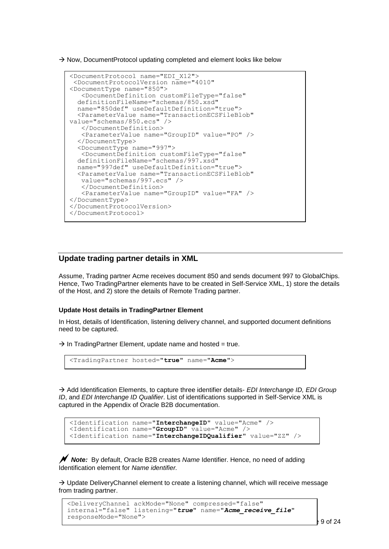$\rightarrow$  Now, DocumentProtocol updating completed and element looks like below

```
<DocumentProtocol name="EDI_X12">
 <DocumentProtocolVersion name="4010"
<DocumentType name="850">
   <DocumentDefinition customFileType="false"
   definitionFileName="schemas/850.xsd"
  name="850def" useDefaultDefinition="true">
   <ParameterValue name="TransactionECSFileBlob" 
value="schemas/850.ecs" />
    </DocumentDefinition>
   <ParameterValue name="GroupID" value="PO" />
   </DocumentType>
   <DocumentType name="997">
   <DocumentDefinition customFileType="false"
   definitionFileName="schemas/997.xsd"
  name="997def" useDefaultDefinition="true">
   <ParameterValue name="TransactionECSFileBlob"
   value="schemas/997.ecs" />
    </DocumentDefinition>
    <ParameterValue name="GroupID" value="FA" />
</DocumentType>
</DocumentProtocolVersion>
</DocumentProtocol>
```
# <span id="page-8-0"></span>**Update trading partner details in XML**

Assume, Trading partner Acme receives document 850 and sends document 997 to GlobalChips. Hence, Two TradingPartner elements have to be created in Self-Service XML, 1) store the details of the Host, and 2) store the details of Remote Trading partner.

# <span id="page-8-1"></span>**Update Host details in TradingPartner Element**

In Host, details of Identification, listening delivery channel, and supported document definitions need to be captured.

 $\rightarrow$  In TradingPartner Element, update name and hosted = true.

```
<TradingPartner hosted="true" name="Acme">
```
 Add Identification Elements, to capture three identifier details- *EDI Interchange ID, EDI Group ID*, and *EDI Interchange ID Qualifier*. List of identifications supported in Self-Service XML is captured in the Appendix of Oracle B2B documentation.

```
<Identification name="InterchangeID" value="Acme" />
<Identification name="GroupID" value="Acme" />
<Identification name="InterchangeIDQualifier" value="ZZ" />
```
 *Note:* By default, Oracle B2B creates *Name* Identifier. Hence, no need of adding Identification element for *Name identifier.*

 $\rightarrow$  Update DeliveryChannel element to create a listening channel, which will receive message from trading partner.

```
<DeliveryChannel ackMode="None" compressed="false" 
internal="false" listening="true" name="Acme_receive_file" 
responseMode="None">
```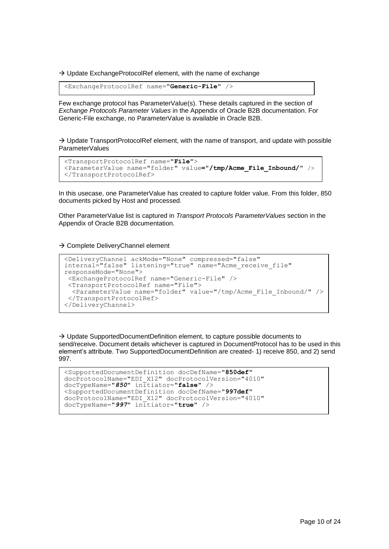$\rightarrow$  Update ExchangeProtocolRef element, with the name of exchange

<ExchangeProtocolRef name="**Generic-File**" />

Few exchange protocol has ParameterValue(s). These details captured in the section of *Exchange Protocols Parameter Values* in the Appendix of Oracle B2B documentation. For Generic-File exchange, no ParameterValue is available in Oracle B2B.

 $\rightarrow$  Update TransportProtocolRef element, with the name of transport, and update with possible ParameterValues

```
<TransportProtocolRef name="File">
<ParameterValue name="folder" value="/tmp/Acme_File_Inbound/" />
</TransportProtocolRef>
```
In this usecase, one ParameterValue has created to capture folder value. From this folder, 850 documents picked by Host and processed.

Other ParameterValue list is captured in *Transport Protocols ParameterValues* section in the Appendix of Oracle B2B documentation.

 $\rightarrow$  Complete DeliveryChannel element

```
<DeliveryChannel ackMode="None" compressed="false"
internal="false" listening="true" name="Acme_receive_file"
responseMode="None">
 <ExchangeProtocolRef name="Generic-File" />
 <TransportProtocolRef name="File">
   <ParameterValue name="folder" value="/tmp/Acme_File_Inbound/" />
 </TransportProtocolRef>
</DeliveryChannel>
```
 $\rightarrow$  Update SupportedDocumentDefinition element, to capture possible documents to send/receive. Document details whichever is captured in DocumentProtocol has to be used in this element's attribute. Two SupportedDocumentDefinition are created- 1) receive 850, and 2) send 997.

```
<SupportedDocumentDefinition docDefName="850def"
docProtocolName="EDI_X12" docProtocolVersion="4010"
docTypeName="850" initiator="false" />
<SupportedDocumentDefinition docDefName="997def"
docProtocolName="EDI_X12" docProtocolVersion="4010"
docTypeName="997" initiator="true" />
```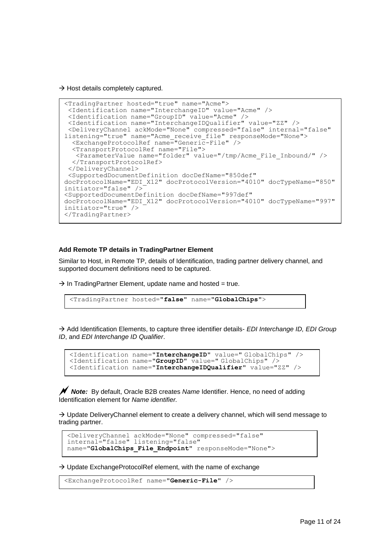$\rightarrow$  Host details completely captured.

```
<TradingPartner hosted="true" name="Acme">
 <Identification name="InterchangeID" value="Acme" />
 <Identification name="GroupID" value="Acme" />
 <Identification name="InterchangeIDQualifier" value="ZZ" />
 <DeliveryChannel ackMode="None" compressed="false" internal="false" 
listening="true" name="Acme_receive_file" responseMode="None">
   <ExchangeProtocolRef name="Generic-File" />
   <TransportProtocolRef name="File">
   <ParameterValue name="folder" value="/tmp/Acme_File_Inbound/" />
  </TransportProtocolRef>
 </DeliveryChannel>
 <SupportedDocumentDefinition docDefName="850def"
docProtocolName="EDI_X12" docProtocolVersion="4010" docTypeName="850" 
initiator="false" />
<SupportedDocumentDefinition docDefName="997def"
docProtocolName="EDI_X12" docProtocolVersion="4010" docTypeName="997" 
initiator="true" />
</TradingPartner>
```
#### <span id="page-10-0"></span>**Add Remote TP details in TradingPartner Element**

Similar to Host, in Remote TP, details of Identification, trading partner delivery channel, and supported document definitions need to be captured.

 $\rightarrow$  In TradingPartner Element, update name and hosted = true.

```
<TradingPartner hosted="false" name="GlobalChips">
```
 Add Identification Elements, to capture three identifier details- *EDI Interchange ID, EDI Group ID*, and *EDI Interchange ID Qualifier*.

```
<Identification name="InterchangeID" value=" GlobalChips" />
<Identification name="GroupID" value=" GlobalChips" />
<Identification name="InterchangeIDQualifier" value="ZZ" />
```
*N* Note: By default, Oracle B2B creates *Name* Identifier. Hence, no need of adding Identification element for *Name identifier.*

 $\rightarrow$  Update DeliveryChannel element to create a delivery channel, which will send message to trading partner.

```
<DeliveryChannel ackMode="None" compressed="false" 
internal="false" listening="false"
name="GlobalChips File Endpoint" responseMode="None">
```
 $\rightarrow$  Update ExchangeProtocolRef element, with the name of exchange

```
<ExchangeProtocolRef name="Generic-File" />
```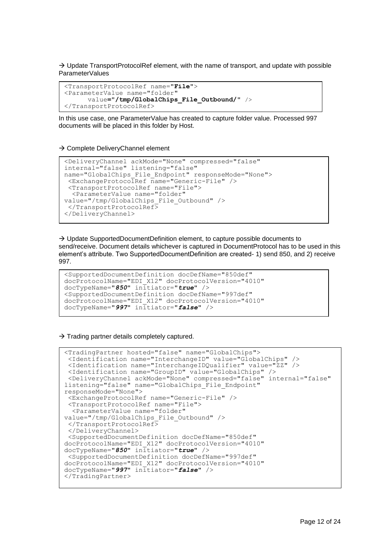$\rightarrow$  Update TransportProtocolRef element, with the name of transport, and update with possible ParameterValues

```
<TransportProtocolRef name="File">
<ParameterValue name="folder"
      value="/tmp/GlobalChips_File_Outbound/" />
</TransportProtocolRef>
```
In this use case, one ParameterValue has created to capture folder value. Processed 997 documents will be placed in this folder by Host.

 $\rightarrow$  Complete DeliveryChannel element

```
<DeliveryChannel ackMode="None" compressed="false" 
internal="false" listening="false"
name="GlobalChips_File_Endpoint" responseMode="None">
 <ExchangeProtocolRef name="Generic-File" />
 <TransportProtocolRef name="File">
   <ParameterValue name="folder"
value="/tmp/GlobalChips_File_Outbound" />
 </TransportProtocolRef>
</DeliveryChannel>
```
 $\rightarrow$  Update SupportedDocumentDefinition element, to capture possible documents to send/receive. Document details whichever is captured in DocumentProtocol has to be used in this element's attribute. Two SupportedDocumentDefinition are created- 1) send 850, and 2) receive 997.

```
<SupportedDocumentDefinition docDefName="850def"
docProtocolName="EDI_X12" docProtocolVersion="4010"
docTypeName="850" initiator="true" />
<SupportedDocumentDefinition docDefName="997def"
docProtocolName="EDI_X12" docProtocolVersion="4010"
docTypeName="997" initiator="false" />
```
 $\rightarrow$  Trading partner details completely captured.

```
<TradingPartner hosted="false" name="GlobalChips">
 <Identification name="InterchangeID" value="GlobalChips" />
 <Identification name="InterchangeIDQualifier" value="ZZ" />
 <Identification name="GroupID" value="GlobalChips" />
 <DeliveryChannel ackMode="None" compressed="false" internal="false" 
listening="false" name="GlobalChips_File_Endpoint" 
responseMode="None">
 <ExchangeProtocolRef name="Generic-File" />
<TransportProtocolRef name="File">
   <ParameterValue name="folder"
value="/tmp/GlobalChips_File_Outbound" />
 </TransportProtocolRef>
 </DeliveryChannel>
 <SupportedDocumentDefinition docDefName="850def"
docProtocolName="EDI_X12" docProtocolVersion="4010"
docTypeName="850" initiator="true" />
 <SupportedDocumentDefinition docDefName="997def"
docProtocolName="EDI_X12" docProtocolVersion="4010"
docTypeName="997" initiator="false" />
</TradingPartner>
```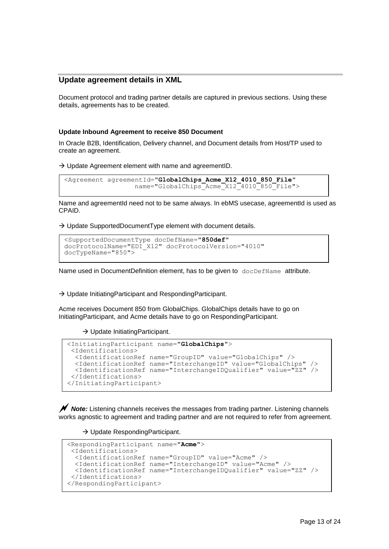# <span id="page-12-0"></span>**Update agreement details in XML**

Document protocol and trading partner details are captured in previous sections. Using these details, agreements has to be created.

### <span id="page-12-1"></span>**Update Inbound Agreement to receive 850 Document**

In Oracle B2B, Identification, Delivery channel, and Document details from Host/TP used to create an agreement.

 $\rightarrow$  Update Agreement element with name and agreementID.

```
<Agreement agreementId="GlobalChips_Acme_X12_4010_850_File"
                      name="GlobalChips<sup>_</sup>Acme_X12<sup>_4010_850_File"></sup>
```
Name and agreementId need not to be same always. In ebMS usecase, agreementId is used as CPAID.

 $\rightarrow$  Update SupportedDocumentType element with document details.

```
<SupportedDocumentType docDefName="850def"
docProtocolName="EDI_X12" docProtocolVersion="4010" 
docTypeName="850">
```
Name used in DocumentDefinition element, has to be given to docDefName attribute.

 $\rightarrow$  Update InitiatingParticipant and RespondingParticipant.

Acme receives Document 850 from GlobalChips. GlobalChips details have to go on InitiatingParticipant, and Acme details have to go on RespondingParticipant.

#### $\rightarrow$  Update InitiatingParticipant.

```
<InitiatingParticipant name="GlobalChips">
 <Identifications>
  <IdentificationRef name="GroupID" value="GlobalChips" />
   <IdentificationRef name="InterchangeID" value="GlobalChips" />
  <IdentificationRef name="InterchangeIDQualifier" value="ZZ" />
 </Identifications>
</InitiatingParticipant>
```
**Note:** Listening channels receives the messages from trading partner. Listening channels works agnostic to agreement and trading partner and are not required to refer from agreement.

 $\rightarrow$  Update RespondingParticipant.

```
<RespondingParticipant name="Acme">
 <Identifications>
   <IdentificationRef name="GroupID" value="Acme" />
   <IdentificationRef name="InterchangeID" value="Acme" />
  <IdentificationRef name="InterchangeIDQualifier" value="ZZ" />
 </Identifications>
</RespondingParticipant>
```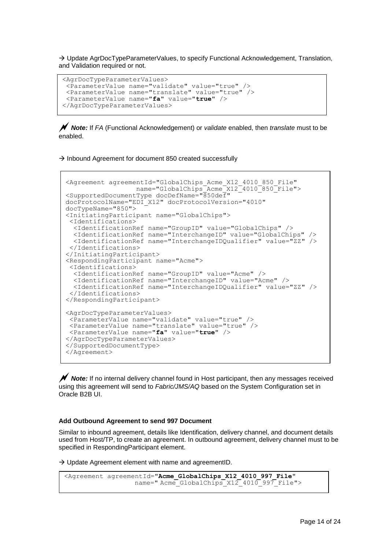$\rightarrow$  Update AgrDocTypeParameterValues, to specify Functional Acknowledgement, Translation, and Validation required or not.

```
<AgrDocTypeParameterValues>
<ParameterValue name="validate" value="true" />
 <ParameterValue name="translate" value="true" />
 <ParameterValue name="fa" value="true" />
</AgrDocTypeParameterValues>
```
 *Note:* If *FA* (Functional Acknowledgement) or *validate* enabled, then *translate* must to be enabled.

 $\rightarrow$  Inbound Agreement for document 850 created successfully

```
<Agreement agreementId="GlobalChips_Acme_X12_4010_850_File"
                  name="GlobalChips<sup>-</sup>Acme<sup>-x12-4010<sup>-850-</sup>File"></sup>
<SupportedDocumentType docDefName="850def"
docProtocolName="EDI_X12" docProtocolVersion="4010" 
docTypeName="850">
<InitiatingParticipant name="GlobalChips">
 <Identifications>
   <IdentificationRef name="GroupID" value="GlobalChips" />
 <IdentificationRef name="InterchangeID" value="GlobalChips" />
 <IdentificationRef name="InterchangeIDQualifier" value="ZZ" />
 </Identifications>
</InitiatingParticipant>
<RespondingParticipant name="Acme">
 <Identifications>
   <IdentificationRef name="GroupID" value="Acme" />
   <IdentificationRef name="InterchangeID" value="Acme" />
  <IdentificationRef name="InterchangeIDQualifier" value="ZZ" />
 </Identifications>
</RespondingParticipant>
<AgrDocTypeParameterValues>
<ParameterValue name="validate" value="true" />
 <ParameterValue name="translate" value="true" />
 <ParameterValue name="fa" value="true" />
</AgrDocTypeParameterValues>
</SupportedDocumentType>
</Agreement>
```
*N* Note: If no internal delivery channel found in Host participant, then any messages received using this agreement will send to *Fabric/JMS/AQ* based on the System Configuration set in Oracle B2B UI.

#### <span id="page-13-0"></span>**Add Outbound Agreement to send 997 Document**

Similar to inbound agreement, details like Identification, delivery channel, and document details used from Host/TP, to create an agreement. In outbound agreement, delivery channel must to be specified in RespondingParticipant element.

 $\rightarrow$  Update Agreement element with name and agreementID.

```
<Agreement agreementId="Acme_GlobalChips_X12_4010_997_File"
                  name=" Acme GlobalChips X12 4010 997 File">
```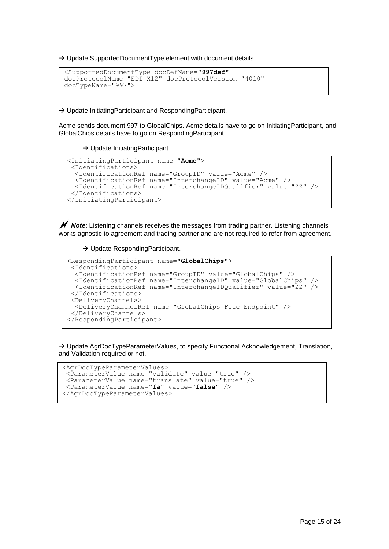$\rightarrow$  Update SupportedDocumentType element with document details.

```
<SupportedDocumentType docDefName="997def"
docProtocolName="EDI_X12" docProtocolVersion="4010"
docTypeName="997">
```
→ Update InitiatingParticipant and RespondingParticipant.

Acme sends document 997 to GlobalChips. Acme details have to go on InitiatingParticipant, and GlobalChips details have to go on RespondingParticipant.

#### $\rightarrow$  Update InitiatingParticipant.

```
<InitiatingParticipant name="Acme">
<Identifications>
  <IdentificationRef name="GroupID" value="Acme" />
   <IdentificationRef name="InterchangeID" value="Acme" />
  <IdentificationRef name="InterchangeIDQualifier" value="ZZ" />
</Identifications>
</InitiatingParticipant>
```
 *Note*: Listening channels receives the messages from trading partner. Listening channels works agnostic to agreement and trading partner and are not required to refer from agreement.

#### $\rightarrow$  Update RespondingParticipant.

```
<RespondingParticipant name="GlobalChips">
 <Identifications>
   <IdentificationRef name="GroupID" value="GlobalChips" />
   <IdentificationRef name="InterchangeID" value="GlobalChips" />
  <IdentificationRef name="InterchangeIDQualifier" value="ZZ" />
 </Identifications>
 <DeliveryChannels>
  <DeliveryChannelRef name="GlobalChips_File_Endpoint" />
</DeliveryChannels>
</RespondingParticipant>
```
 $\rightarrow$  Update AgrDocTypeParameterValues, to specify Functional Acknowledgement, Translation, and Validation required or not.

```
<AgrDocTypeParameterValues>
 <ParameterValue name="validate" value="true" />
 <ParameterValue name="translate" value="true" />
<ParameterValue name="fa" value="false" />
</AgrDocTypeParameterValues>
```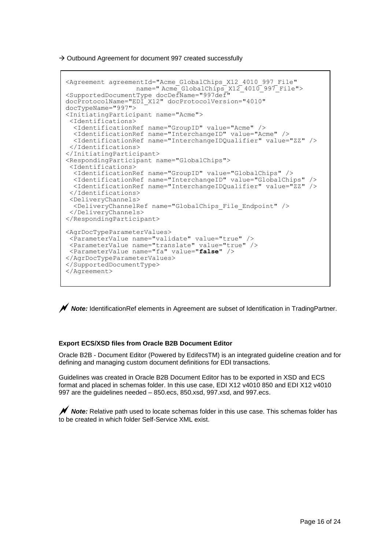$\rightarrow$  Outbound Agreement for document 997 created successfully

```
<Agreement agreementId="Acme_GlobalChips_X12_4010_997_File"
                  name=" Acme GlobalChips X12 4010 997 File">
<SupportedDocumentType docDefName="997def"
docProtocolName="EDI_X12" docProtocolVersion="4010"
docTypeName="997">
<InitiatingParticipant name="Acme">
 <Identifications>
   <IdentificationRef name="GroupID" value="Acme" />
   <IdentificationRef name="InterchangeID" value="Acme" />
  <IdentificationRef name="InterchangeIDQualifier" value="ZZ" />
 </Identifications>
</InitiatingParticipant>
<RespondingParticipant name="GlobalChips">
 <Identifications>
   <IdentificationRef name="GroupID" value="GlobalChips" />
   <IdentificationRef name="InterchangeID" value="GlobalChips" />
   <IdentificationRef name="InterchangeIDQualifier" value="ZZ" />
 </Identifications>
 <DeliveryChannels>
   <DeliveryChannelRef name="GlobalChips_File_Endpoint" />
 </DeliveryChannels>
</RespondingParticipant>
<AgrDocTypeParameterValues>
 <ParameterValue name="validate" value="true" />
 <ParameterValue name="translate" value="true" />
<ParameterValue name="fa" value="false" />
</AgrDocTypeParameterValues>
</SupportedDocumentType>
</Agreement>
```
*Note:* IdentificationRef elements in Agreement are subset of Identification in TradingPartner.

# <span id="page-15-0"></span>**Export ECS/XSD files from Oracle B2B Document Editor**

Oracle B2B - Document Editor (Powered by EdifecsTM) is an integrated guideline creation and for defining and managing custom document definitions for EDI transactions.

Guidelines was created in Oracle B2B Document Editor has to be exported in XSD and ECS format and placed in schemas folder. In this use case, EDI X12 v4010 850 and EDI X12 v4010 997 are the guidelines needed – 850.ecs, 850.xsd, 997.xsd, and 997.ecs.

**∕ Note:** Relative path used to locate schemas folder in this use case. This schemas folder has to be created in which folder Self-Service XML exist.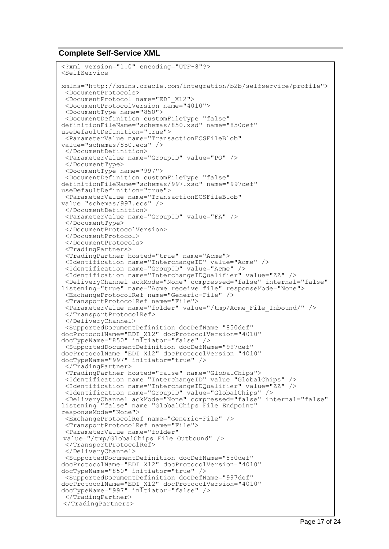# <span id="page-16-0"></span>**Complete Self-Service XML**

```
<?xml version="1.0" encoding="UTF-8"?>
<SelfService
xmlns="http://xmlns.oracle.com/integration/b2b/selfservice/profile">
 <DocumentProtocols>
 <DocumentProtocol name="EDI_X12">
 <DocumentProtocolVersion name="4010">
 <DocumentType name="850">
 <DocumentDefinition customFileType="false" 
definitionFileName="schemas/850.xsd" name="850def" 
useDefaultDefinition="true">
 <ParameterValue name="TransactionECSFileBlob" 
value="schemas/850.ecs" />
 </DocumentDefinition>
 <ParameterValue name="GroupID" value="PO" />
 </DocumentType>
 <DocumentType name="997">
 <DocumentDefinition customFileType="false" 
definitionFileName="schemas/997.xsd" name="997def" 
useDefaultDefinition="true">
 <ParameterValue name="TransactionECSFileBlob" 
value="schemas/997.ecs" />
 </DocumentDefinition>
 <ParameterValue name="GroupID" value="FA" />
 </DocumentType>
 </DocumentProtocolVersion>
 </DocumentProtocol>
 </DocumentProtocols>
 <TradingPartners>
 <TradingPartner hosted="true" name="Acme">
 <Identification name="InterchangeID" value="Acme" />
 <Identification name="GroupID" value="Acme" />
 <Identification name="InterchangeIDQualifier" value="ZZ" />
 <DeliveryChannel ackMode="None" compressed="false" internal="false" 
listening="true" name="Acme_receive_file" responseMode="None">
 <ExchangeProtocolRef name="Generic-File" />
 <TransportProtocolRef name="File">
 <ParameterValue name="folder" value="/tmp/Acme_File_Inbound/" />
 </TransportProtocolRef>
 </DeliveryChannel>
 <SupportedDocumentDefinition docDefName="850def" 
docProtocolName="EDI_X12" docProtocolVersion="4010" 
docTypeName="850" initiator="false" />
 <SupportedDocumentDefinition docDefName="997def" 
docProtocolName="EDI_X12" docProtocolVersion="4010" 
docTypeName="997" initiator="true" />
 </TradingPartner>
 <TradingPartner hosted="false" name="GlobalChips">
 <Identification name="InterchangeID" value="GlobalChips" />
 <Identification name="InterchangeIDQualifier" value="ZZ" />
 <Identification name="GroupID" value="GlobalChips" />
 <DeliveryChannel ackMode="None" compressed="false" internal="false" 
listening="false" name="GlobalChips_File_Endpoint" 
responseMode="None">
 <ExchangeProtocolRef name="Generic-File" />
 <TransportProtocolRef name="File">
 <ParameterValue name="folder"
value="/tmp/GlobalChips_File_Outbound" />
 </TransportProtocolRef>
 </DeliveryChannel>
<SupportedDocumentDefinition docDefName="850def" 
docProtocolName="EDI_X12" docProtocolVersion="4010" 
docTypeName="850" initiator="true" />
 <SupportedDocumentDefinition docDefName="997def" 
docProtocolName="EDI_X12" docProtocolVersion="4010" 
docTypeName="997" infiniteior="false"</TradingPartner>
</TradingPartners>
\overline{a}
```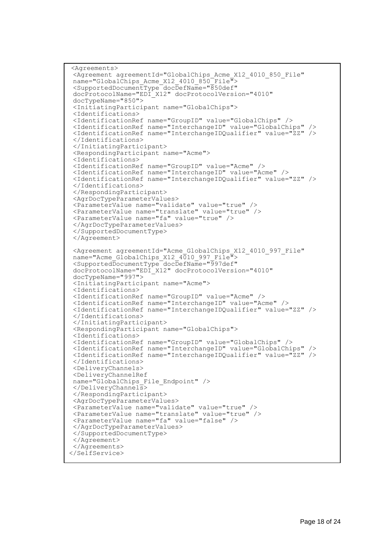```
<Agreements>
 <Agreement agreementId="GlobalChips_Acme_X12_4010_850_File"
name="GlobalChips Acme_X12_4010_850<sup>-</sup>File">
 <SupportedDocumentType docDefName="850def"
docProtocolName="EDI_X12" docProtocolVersion="4010"
docTypeName="850">
 <InitiatingParticipant name="GlobalChips">
 <Identifications>
 <IdentificationRef name="GroupID" value="GlobalChips" />
 <IdentificationRef name="InterchangeID" value="GlobalChips" />
 <IdentificationRef name="InterchangeIDQualifier" value="ZZ" />
 </Identifications>
 </InitiatingParticipant>
 <RespondingParticipant name="Acme">
 <Identifications>
 <IdentificationRef name="GroupID" value="Acme" />
 <IdentificationRef name="InterchangeID" value="Acme" />
 <IdentificationRef name="InterchangeIDQualifier" value="ZZ" />
 </Identifications>
 </RespondingParticipant>
<AgrDocTypeParameterValues>
 \leq ParameterValue name="validate" value="true"
 <ParameterValue name="translate" value="true" />
 <ParameterValue name="fa" value="true" />
 </AgrDocTypeParameterValues>
 </SupportedDocumentType>
 </Agreement>
<Agreement agreementId="Acme_GlobalChips_X12_4010_997_File"
name="Acme_GlobalChips_X12_4010_997_File">
 <SupportedDocumentType docDefName="997def"
docProtocolName="EDI_X12" docProtocolVersion="4010"
docTypeName="997">
<InitiatingParticipant name="Acme">
<Identifications>
 <IdentificationRef name="GroupID" value="Acme" />
 <IdentificationRef name="InterchangeID" value="Acme" />
 <IdentificationRef name="InterchangeIDQualifier" value="ZZ" />
 </Identifications>
 </InitiatingParticipant>
 <RespondingParticipant name="GlobalChips">
 <Identifications>
 <IdentificationRef name="GroupID" value="GlobalChips" />
 <IdentificationRef name="InterchangeID" value="GlobalChips" />
 <IdentificationRef name="InterchangeIDQualifier" value="ZZ" />
 </Identifications>
<DeliveryChannels>
 <DeliveryChannelRef
name="GlobalChips_File_Endpoint" />
 </DeliveryChannels>
 </RespondingParticipant>
 <AgrDocTypeParameterValues>
<ParameterValue name="validate" value="true" />
 <ParameterValue name="translate" value="true" />
 <ParameterValue name="fa" value="false" />
 </AgrDocTypeParameterValues>
 </SupportedDocumentType>
</Agreement>
 </Agreements>
</SelfService>
```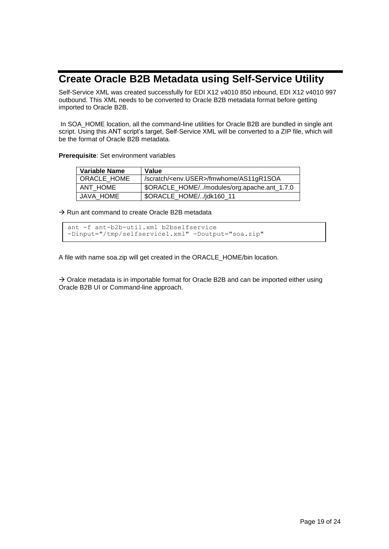# <span id="page-18-0"></span>**Create Oracle B2B Metadata using Self-Service Utility**

Self-Service XML was created successfully for EDI X12 v4010 850 inbound, EDI X12 v4010 997 outbound. This XML needs to be converted to Oracle B2B metadata format before getting imported to Oracle B2B.

In SOA HOME location, all the command-line utilities for Oracle B2B are bundled in single ant script. Using this ANT script's target, Self-Service XML will be converted to a ZIP file, which will be the format of Oracle B2B metadata.

**Prerequisite**: Set environment variables

| <b>Variable Name</b> | Value                                              |
|----------------------|----------------------------------------------------|
| ORACLE HOME          | /scratch/ <env.user>/fmwhome/AS11gR1SOA</env.user> |
| ANT HOME             | \$ORACLE_HOME//modules/org.apache.ant_1.7.0        |
| JAVA HOME            | \$ORACLE_HOME//jdk160_11                           |

 $\rightarrow$  Run ant command to create Oracle B2B metadata

ant -f ant-b2b-util.xml b2bselfservice -Dinput="/tmp/selfservice1.xml" -Doutput="soa.zip"

A file with name soa.zip will get created in the ORACLE\_HOME/bin location.

 $\rightarrow$  Oralce metadata is in importable format for Oracle B2B and can be imported either using Oracle B2B UI or Command-line approach.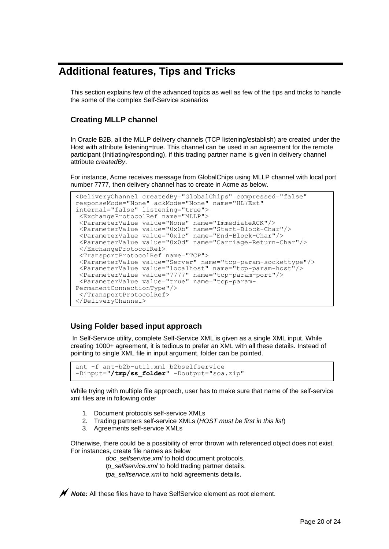# <span id="page-19-0"></span>**Additional features, Tips and Tricks**

This section explains few of the advanced topics as well as few of the tips and tricks to handle the some of the complex Self-Service scenarios

# <span id="page-19-1"></span>**Creating MLLP channel**

In Oracle B2B, all the MLLP delivery channels (TCP listening/establish) are created under the Host with attribute listening=true. This channel can be used in an agreement for the remote participant (Initiating/responding), if this trading partner name is given in delivery channel attribute *createdBy*.

For instance, Acme receives message from GlobalChips using MLLP channel with local port number 7777, then delivery channel has to create in Acme as below.

```
<DeliveryChannel createdBy="GlobalChips" compressed="false" 
responseMode="None" ackMode="None" name="HL7Ext" 
internal="false" listening="true">
 <ExchangeProtocolRef name="MLLP">
 <ParameterValue value="None" name="ImmediateACK"/>
 <ParameterValue value="0x0b" name="Start-Block-Char"/>
 <ParameterValue value="0x1c" name="End-Block-Char"/>
 <ParameterValue value="0x0d" name="Carriage-Return-Char"/>
 </ExchangeProtocolRef>
 <TransportProtocolRef name="TCP">
<ParameterValue value="Server" name="tcp-param-sockettype"/>
 <ParameterValue value="localhost" name="tcp-param-host"/>
 <ParameterValue value="7777" name="tcp-param-port"/>
 <ParameterValue value="true" name="tcp-param-
PermanentConnectionType"/>
 </TransportProtocolRef>
</DeliveryChannel>
```
# <span id="page-19-2"></span>**Using Folder based input approach**

In Self-Service utility, complete Self-Service XML is given as a single XML input. While creating 1000+ agreement, it is tedious to prefer an XML with all these details. Instead of pointing to single XML file in input argument, folder can be pointed.

```
ant -f ant-b2b-util.xml b2bselfservice 
-Dinput="/tmp/ss_folder" -Doutput="soa.zip"
```
While trying with multiple file approach, user has to make sure that name of the self-service xml files are in following order

- 1. Document protocols self-service XMLs
- 2. Trading partners self-service XMLs (*HOST must be first in this list*)
- 3. Agreements self-service XMLs

Otherwise, there could be a possibility of error thrown with referenced object does not exist. For instances, create file names as below

> *doc\_selfservice.xml* to hold document protocols. *tp\_selfservice.xml* to hold trading partner details. *tpa\_selfservice.xml* to hold agreements details.

*Note:* All these files have to have SelfService element as root element.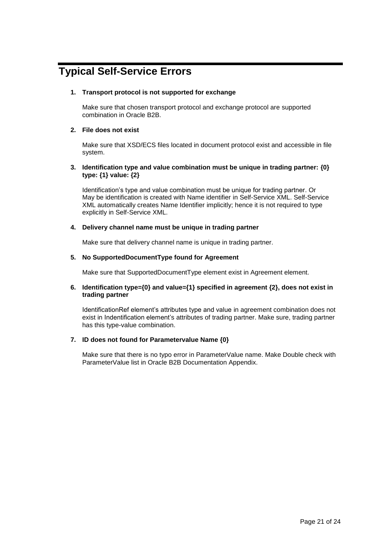# <span id="page-20-0"></span>**Typical Self-Service Errors**

# **1. Transport protocol is not supported for exchange**

Make sure that chosen transport protocol and exchange protocol are supported combination in Oracle B2B.

# **2. File does not exist**

Make sure that XSD/ECS files located in document protocol exist and accessible in file system.

# **3. Identification type and value combination must be unique in trading partner: {0} type: {1} value: {2}**

Identification's type and value combination must be unique for trading partner. Or May be identification is created with Name identifier in Self-Service XML. Self-Service XML automatically creates Name Identifier implicitly; hence it is not required to type explicitly in Self-Service XML.

# **4. Delivery channel name must be unique in trading partner**

Make sure that delivery channel name is unique in trading partner.

# **5. No SupportedDocumentType found for Agreement**

Make sure that SupportedDocumentType element exist in Agreement element.

### **6. Identification type={0} and value={1} specified in agreement {2}, does not exist in trading partner**

IdentificationRef element's attributes type and value in agreement combination does not exist in Indentification element's attributes of trading partner. Make sure, trading partner has this type-value combination.

# **7. ID does not found for Parametervalue Name {0}**

Make sure that there is no typo error in ParameterValue name. Make Double check with ParameterValue list in Oracle B2B Documentation Appendix.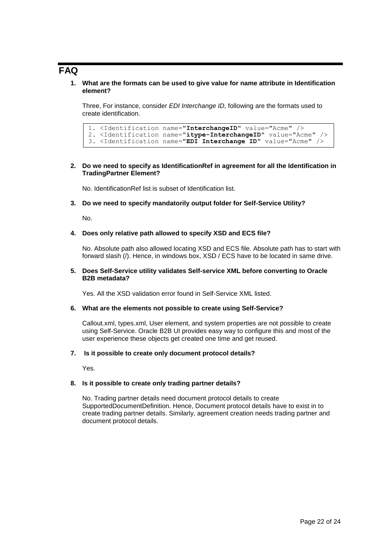# <span id="page-21-0"></span>**FAQ**

**1. What are the formats can be used to give value for name attribute in Identification element?**

Three, For instance, consider *EDI Interchange ID,* following are the formats used to create identification.

```
1. <Identification name="InterchangeID" value="Acme" /> 
2. <Identification name="itype-InterchangeID" value="Acme" />
3. <Identification name="EDI Interchange ID" value="Acme" />
```
# **2. Do we need to specify as IdentificationRef in agreement for all the Identification in TradingPartner Element?**

No. IdentificationRef list is subset of Identification list.

### **3. Do we need to specify mandatorily output folder for Self-Service Utility?**

No.

#### **4. Does only relative path allowed to specify XSD and ECS file?**

No. Absolute path also allowed locating XSD and ECS file. Absolute path has to start with forward slash (/). Hence, in windows box, XSD / ECS have to be located in same drive.

#### **5. Does Self-Service utility validates Self-service XML before converting to Oracle B2B metadata?**

Yes. All the XSD validation error found in Self-Service XML listed.

### **6. What are the elements not possible to create using Self-Service?**

Callout.xml, types.xml, User element, and system properties are not possible to create using Self-Service. Oracle B2B UI provides easy way to configure this and most of the user experience these objects get created one time and get reused.

### **7. Is it possible to create only document protocol details?**

Yes.

### **8. Is it possible to create only trading partner details?**

No. Trading partner details need document protocol details to create SupportedDocumentDefinition. Hence, Document protocol details have to exist in to create trading partner details. Similarly, agreement creation needs trading partner and document protocol details.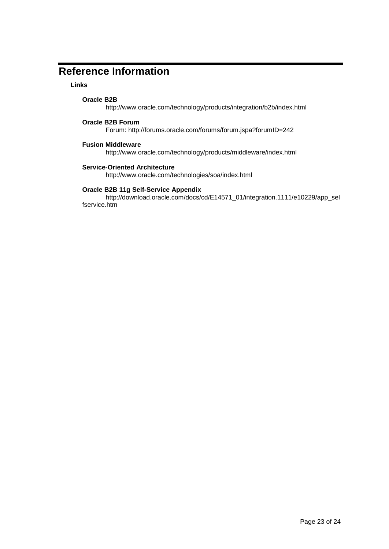# <span id="page-22-0"></span>**Reference Information**

# **Links**

# **Oracle B2B**

http://www.oracle.com/technology/products/integration/b2b/index.html

# **Oracle B2B Forum**

Forum: http://forums.oracle.com/forums/forum.jspa?forumID=242

# **Fusion Middleware**

http://www.oracle.com/technology/products/middleware/index.html

# **Service-Oriented Architecture**

http://www.oracle.com/technologies/soa/index.html

# **Oracle B2B 11g Self-Service Appendix**

http://download.oracle.com/docs/cd/E14571\_01/integration.1111/e10229/app\_sel fservice.htm